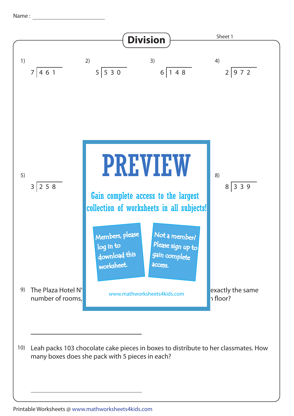